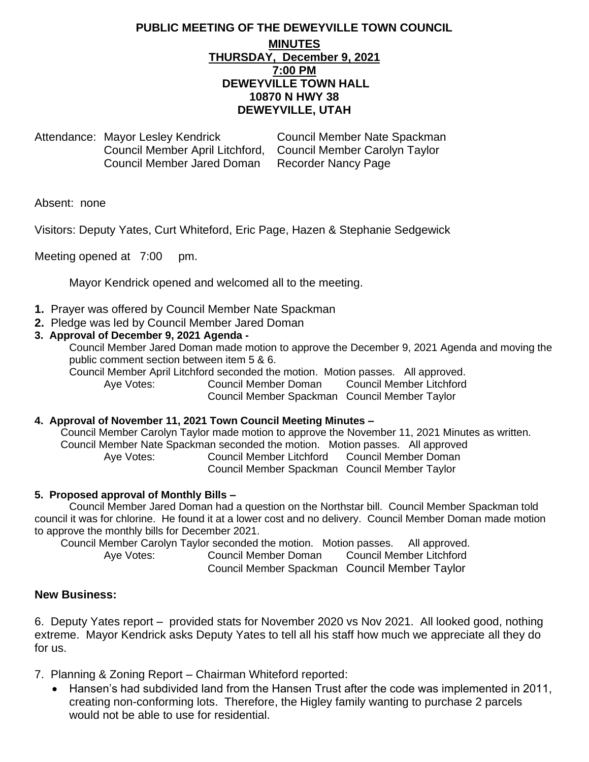## **PUBLIC MEETING OF THE DEWEYVILLE TOWN COUNCIL MINUTES THURSDAY, December 9, 2021 7:00 PM DEWEYVILLE TOWN HALL 10870 N HWY 38 DEWEYVILLE, UTAH**

Attendance: Mayor Lesley Kendrick Council Member Nate Spackman Council Member April Litchford, Council Member Carolyn Taylor Council Member Jared Doman Recorder Nancy Page

Absent: none

Visitors: Deputy Yates, Curt Whiteford, Eric Page, Hazen & Stephanie Sedgewick

Meeting opened at 7:00pm.

Mayor Kendrick opened and welcomed all to the meeting.

- **1.** Prayer was offered by Council Member Nate Spackman
- **2.** Pledge was led by Council Member Jared Doman

# **3. Approval of December 9, 2021 Agenda -**

Council Member Jared Doman made motion to approve the December 9, 2021 Agenda and moving the public comment section between item 5 & 6.

Council Member April Litchford seconded the motion. Motion passes. All approved. Aye Votes: Council Member Doman Council Member Litchford Council Member Spackman Council Member Taylor

#### **4. Approval of November 11, 2021 Town Council Meeting Minutes –**

Council Member Carolyn Taylor made motion to approve the November 11, 2021 Minutes as written. Council Member Nate Spackman seconded the motion. Motion passes. All approved Aye Votes: Council Member Litchford Council Member Doman Council Member Spackman Council Member Taylor

#### **5. Proposed approval of Monthly Bills –**

Council Member Jared Doman had a question on the Northstar bill. Council Member Spackman told council it was for chlorine. He found it at a lower cost and no delivery. Council Member Doman made motion to approve the monthly bills for December 2021.

Council Member Carolyn Taylor seconded the motion. Motion passes. All approved. Aye Votes: Council Member Doman Council Member Litchford Council Member Spackman Council Member Taylor

## **New Business:**

6. Deputy Yates report – provided stats for November 2020 vs Nov 2021. All looked good, nothing extreme. Mayor Kendrick asks Deputy Yates to tell all his staff how much we appreciate all they do for us.

7. Planning & Zoning Report – Chairman Whiteford reported:

• Hansen's had subdivided land from the Hansen Trust after the code was implemented in 2011, creating non-conforming lots. Therefore, the Higley family wanting to purchase 2 parcels would not be able to use for residential.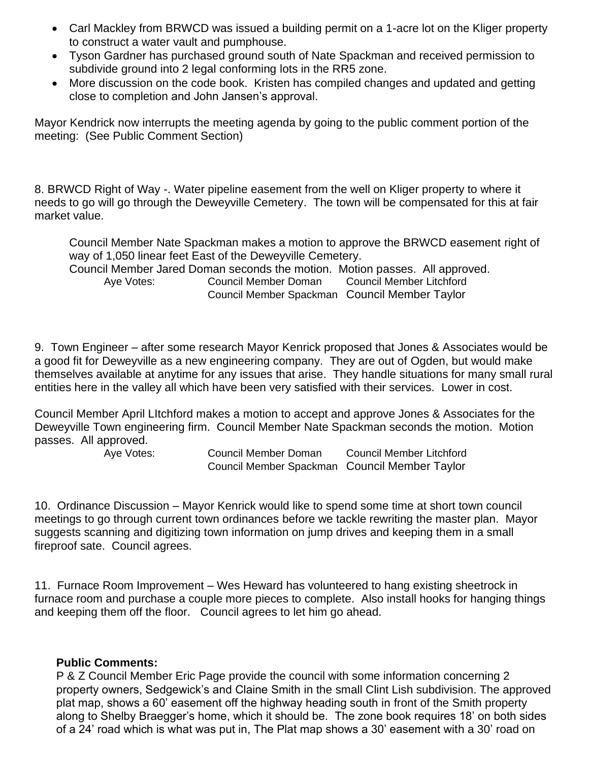- Carl Mackley from BRWCD was issued a building permit on a 1-acre lot on the Kliger property to construct a water vault and pumphouse.
- Tyson Gardner has purchased ground south of Nate Spackman and received permission to subdivide ground into 2 legal conforming lots in the RR5 zone.
- More discussion on the code book. Kristen has compiled changes and updated and getting close to completion and John Jansen's approval.

Mayor Kendrick now interrupts the meeting agenda by going to the public comment portion of the meeting: (See Public Comment Section)

8. BRWCD Right of Way -. Water pipeline easement from the well on Kliger property to where it needs to go will go through the Deweyville Cemetery. The town will be compensated for this at fair market value.

Council Member Nate Spackman makes a motion to approve the BRWCD easement right of way of 1,050 linear feet East of the Deweyville Cemetery. Council Member Jared Doman seconds the motion. Motion passes. All approved. Aye Votes: Council Member Doman Council Member Litchford Council Member Spackman Council Member Taylor

9. Town Engineer – after some research Mayor Kenrick proposed that Jones & Associates would be a good fit for Deweyville as a new engineering company. They are out of Ogden, but would make themselves available at anytime for any issues that arise. They handle situations for many small rural entities here in the valley all which have been very satisfied with their services. Lower in cost.

Council Member April LItchford makes a motion to accept and approve Jones & Associates for the Deweyville Town engineering firm. Council Member Nate Spackman seconds the motion. Motion passes. All approved.

Aye Votes: Council Member Doman Council Member Litchford Council Member Spackman Council Member Taylor

10. Ordinance Discussion – Mayor Kenrick would like to spend some time at short town council meetings to go through current town ordinances before we tackle rewriting the master plan. Mayor suggests scanning and digitizing town information on jump drives and keeping them in a small fireproof sate. Council agrees.

11. Furnace Room Improvement – Wes Heward has volunteered to hang existing sheetrock in furnace room and purchase a couple more pieces to complete. Also install hooks for hanging things and keeping them off the floor. Council agrees to let him go ahead.

## **Public Comments:**

P & Z Council Member Eric Page provide the council with some information concerning 2 property owners, Sedgewick's and Claine Smith in the small Clint Lish subdivision. The approved plat map, shows a 60' easement off the highway heading south in front of the Smith property along to Shelby Braegger's home, which it should be. The zone book requires 18' on both sides of a 24' road which is what was put in, The Plat map shows a 30' easement with a 30' road on